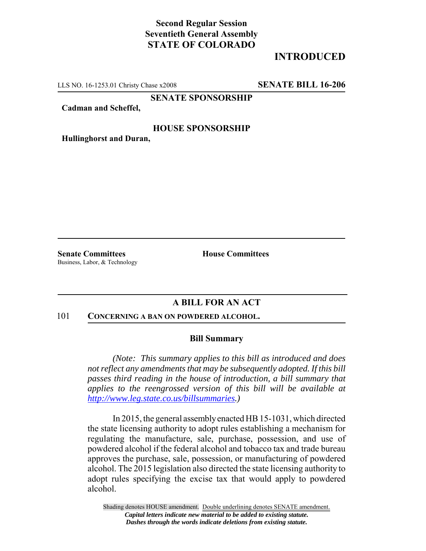# **Second Regular Session Seventieth General Assembly STATE OF COLORADO**

# **INTRODUCED**

LLS NO. 16-1253.01 Christy Chase x2008 **SENATE BILL 16-206**

**SENATE SPONSORSHIP**

**Cadman and Scheffel,**

## **HOUSE SPONSORSHIP**

**Hullinghorst and Duran,**

**Senate Committees House Committees** Business, Labor, & Technology

## **A BILL FOR AN ACT**

#### 101 **CONCERNING A BAN ON POWDERED ALCOHOL.**

### **Bill Summary**

*(Note: This summary applies to this bill as introduced and does not reflect any amendments that may be subsequently adopted. If this bill passes third reading in the house of introduction, a bill summary that applies to the reengrossed version of this bill will be available at http://www.leg.state.co.us/billsummaries.)*

In 2015, the general assembly enacted HB 15-1031, which directed the state licensing authority to adopt rules establishing a mechanism for regulating the manufacture, sale, purchase, possession, and use of powdered alcohol if the federal alcohol and tobacco tax and trade bureau approves the purchase, sale, possession, or manufacturing of powdered alcohol. The 2015 legislation also directed the state licensing authority to adopt rules specifying the excise tax that would apply to powdered alcohol.

Shading denotes HOUSE amendment. Double underlining denotes SENATE amendment. *Capital letters indicate new material to be added to existing statute. Dashes through the words indicate deletions from existing statute.*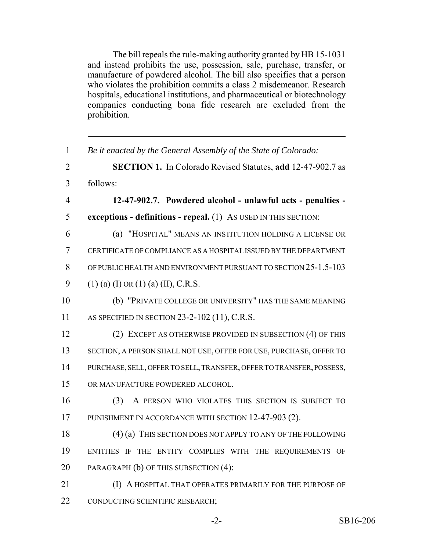The bill repeals the rule-making authority granted by HB 15-1031 and instead prohibits the use, possession, sale, purchase, transfer, or manufacture of powdered alcohol. The bill also specifies that a person who violates the prohibition commits a class 2 misdemeanor. Research hospitals, educational institutions, and pharmaceutical or biotechnology companies conducting bona fide research are excluded from the prohibition.

| $\mathbf{1}$   | Be it enacted by the General Assembly of the State of Colorado:      |
|----------------|----------------------------------------------------------------------|
| $\overline{2}$ | <b>SECTION 1.</b> In Colorado Revised Statutes, add 12-47-902.7 as   |
| $\overline{3}$ | follows:                                                             |
| $\overline{4}$ | 12-47-902.7. Powdered alcohol - unlawful acts - penalties -          |
| 5              | exceptions - definitions - repeal. $(1)$ As USED IN THIS SECTION:    |
| 6              | (a) "HOSPITAL" MEANS AN INSTITUTION HOLDING A LICENSE OR             |
| $\tau$         | CERTIFICATE OF COMPLIANCE AS A HOSPITAL ISSUED BY THE DEPARTMENT     |
| 8              | OF PUBLIC HEALTH AND ENVIRONMENT PURSUANT TO SECTION 25-1.5-103      |
| 9              | $(1)$ (a) (I) OR (1) (a) (II), C.R.S.                                |
| 10             | (b) "PRIVATE COLLEGE OR UNIVERSITY" HAS THE SAME MEANING             |
| 11             | AS SPECIFIED IN SECTION 23-2-102 (11), C.R.S.                        |
| 12             | (2) EXCEPT AS OTHERWISE PROVIDED IN SUBSECTION (4) OF THIS           |
| 13             | SECTION, A PERSON SHALL NOT USE, OFFER FOR USE, PURCHASE, OFFER TO   |
| 14             | PURCHASE, SELL, OFFER TO SELL, TRANSFER, OFFER TO TRANSFER, POSSESS, |
| 15             | OR MANUFACTURE POWDERED ALCOHOL.                                     |
| 16             | A PERSON WHO VIOLATES THIS SECTION IS SUBJECT TO<br>(3)              |
| 17             | PUNISHMENT IN ACCORDANCE WITH SECTION 12-47-903 (2).                 |
| 18             | (4) (a) THIS SECTION DOES NOT APPLY TO ANY OF THE FOLLOWING          |
| 19             | ENTITIES IF THE ENTITY COMPLIES WITH THE REQUIREMENTS OF             |
| 20             | PARAGRAPH (b) OF THIS SUBSECTION (4):                                |
| 21             | (I) A HOSPITAL THAT OPERATES PRIMARILY FOR THE PURPOSE OF            |
| 22             | CONDUCTING SCIENTIFIC RESEARCH;                                      |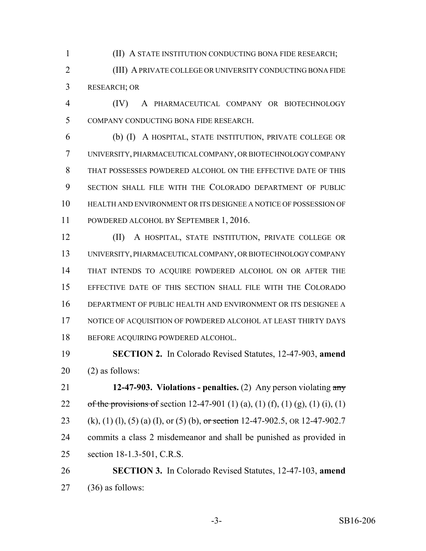(II) A STATE INSTITUTION CONDUCTING BONA FIDE RESEARCH;

 (III) A PRIVATE COLLEGE OR UNIVERSITY CONDUCTING BONA FIDE RESEARCH; OR

 (IV) A PHARMACEUTICAL COMPANY OR BIOTECHNOLOGY COMPANY CONDUCTING BONA FIDE RESEARCH.

 (b) (I) A HOSPITAL, STATE INSTITUTION, PRIVATE COLLEGE OR UNIVERSITY, PHARMACEUTICAL COMPANY, OR BIOTECHNOLOGY COMPANY THAT POSSESSES POWDERED ALCOHOL ON THE EFFECTIVE DATE OF THIS SECTION SHALL FILE WITH THE COLORADO DEPARTMENT OF PUBLIC HEALTH AND ENVIRONMENT OR ITS DESIGNEE A NOTICE OF POSSESSION OF POWDERED ALCOHOL BY SEPTEMBER 1, 2016.

 (II) A HOSPITAL, STATE INSTITUTION, PRIVATE COLLEGE OR UNIVERSITY, PHARMACEUTICAL COMPANY, OR BIOTECHNOLOGY COMPANY THAT INTENDS TO ACQUIRE POWDERED ALCOHOL ON OR AFTER THE EFFECTIVE DATE OF THIS SECTION SHALL FILE WITH THE COLORADO DEPARTMENT OF PUBLIC HEALTH AND ENVIRONMENT OR ITS DESIGNEE A 17 NOTICE OF ACQUISITION OF POWDERED ALCOHOL AT LEAST THIRTY DAYS 18 BEFORE ACQUIRING POWDERED ALCOHOL.

 **SECTION 2.** In Colorado Revised Statutes, 12-47-903, **amend** (2) as follows:

 **12-47-903. Violations - penalties.** (2) Any person violating any 22 of the provisions of section 12-47-901 (1) (a), (1) (f), (1) (g), (1) (i), (1) 23 (k), (1) (l), (5) (a) (I), or (5) (b), or section 12-47-902.5, OR 12-47-902.7 commits a class 2 misdemeanor and shall be punished as provided in section 18-1.3-501, C.R.S.

 **SECTION 3.** In Colorado Revised Statutes, 12-47-103, **amend** (36) as follows: